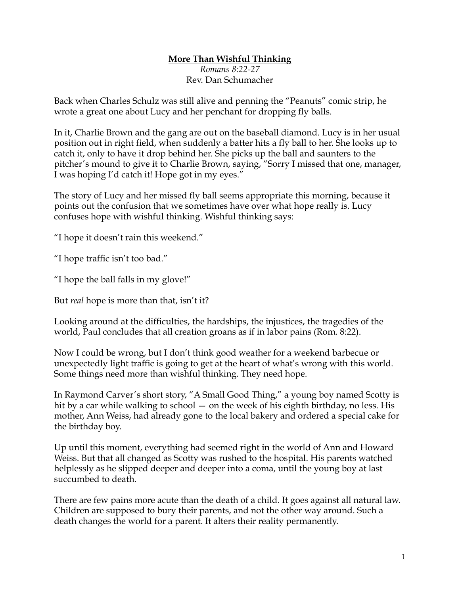## **More Than Wishful Thinking**

*Romans 8:22-27* Rev. Dan Schumacher

Back when Charles Schulz was still alive and penning the "Peanuts" comic strip, he wrote a great one about Lucy and her penchant for dropping fly balls.

In it, Charlie Brown and the gang are out on the baseball diamond. Lucy is in her usual position out in right field, when suddenly a batter hits a fly ball to her. She looks up to catch it, only to have it drop behind her. She picks up the ball and saunters to the pitcher's mound to give it to Charlie Brown, saying, "Sorry I missed that one, manager, I was hoping I'd catch it! Hope got in my eyes."

The story of Lucy and her missed fly ball seems appropriate this morning, because it points out the confusion that we sometimes have over what hope really is. Lucy confuses hope with wishful thinking. Wishful thinking says:

"I hope it doesn't rain this weekend."

"I hope traffic isn't too bad."

"I hope the ball falls in my glove!"

But *real* hope is more than that, isn't it?

Looking around at the difficulties, the hardships, the injustices, the tragedies of the world, Paul concludes that all creation groans as if in labor pains (Rom. 8:22).

Now I could be wrong, but I don't think good weather for a weekend barbecue or unexpectedly light traffic is going to get at the heart of what's wrong with this world. Some things need more than wishful thinking. They need hope.

In Raymond Carver's short story, "A Small Good Thing," a young boy named Scotty is hit by a car while walking to school — on the week of his eighth birthday, no less. His mother, Ann Weiss, had already gone to the local bakery and ordered a special cake for the birthday boy.

Up until this moment, everything had seemed right in the world of Ann and Howard Weiss. But that all changed as Scotty was rushed to the hospital. His parents watched helplessly as he slipped deeper and deeper into a coma, until the young boy at last succumbed to death.

There are few pains more acute than the death of a child. It goes against all natural law. Children are supposed to bury their parents, and not the other way around. Such a death changes the world for a parent. It alters their reality permanently.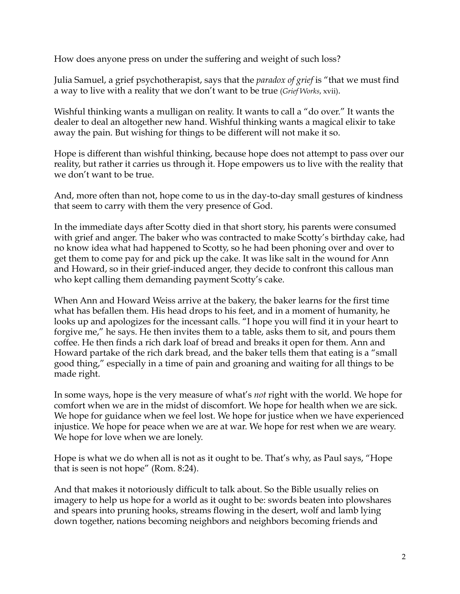How does anyone press on under the suffering and weight of such loss?

Julia Samuel, a grief psychotherapist, says that the *paradox of grief* is "that we must find a way to live with a reality that we don't want to be true (*Grief Works*, xvii).

Wishful thinking wants a mulligan on reality. It wants to call a "do over." It wants the dealer to deal an altogether new hand. Wishful thinking wants a magical elixir to take away the pain. But wishing for things to be different will not make it so.

Hope is different than wishful thinking, because hope does not attempt to pass over our reality, but rather it carries us through it. Hope empowers us to live with the reality that we don't want to be true.

And, more often than not, hope come to us in the day-to-day small gestures of kindness that seem to carry with them the very presence of God.

In the immediate days after Scotty died in that short story, his parents were consumed with grief and anger. The baker who was contracted to make Scotty's birthday cake, had no know idea what had happened to Scotty, so he had been phoning over and over to get them to come pay for and pick up the cake. It was like salt in the wound for Ann and Howard, so in their grief-induced anger, they decide to confront this callous man who kept calling them demanding payment Scotty's cake.

When Ann and Howard Weiss arrive at the bakery, the baker learns for the first time what has befallen them. His head drops to his feet, and in a moment of humanity, he looks up and apologizes for the incessant calls. "I hope you will find it in your heart to forgive me," he says. He then invites them to a table, asks them to sit, and pours them coffee. He then finds a rich dark loaf of bread and breaks it open for them. Ann and Howard partake of the rich dark bread, and the baker tells them that eating is a "small good thing," especially in a time of pain and groaning and waiting for all things to be made right.

In some ways, hope is the very measure of what's *not* right with the world. We hope for comfort when we are in the midst of discomfort. We hope for health when we are sick. We hope for guidance when we feel lost. We hope for justice when we have experienced injustice. We hope for peace when we are at war. We hope for rest when we are weary. We hope for love when we are lonely.

Hope is what we do when all is not as it ought to be. That's why, as Paul says, "Hope that is seen is not hope" (Rom. 8:24).

And that makes it notoriously difficult to talk about. So the Bible usually relies on imagery to help us hope for a world as it ought to be: swords beaten into plowshares and spears into pruning hooks, streams flowing in the desert, wolf and lamb lying down together, nations becoming neighbors and neighbors becoming friends and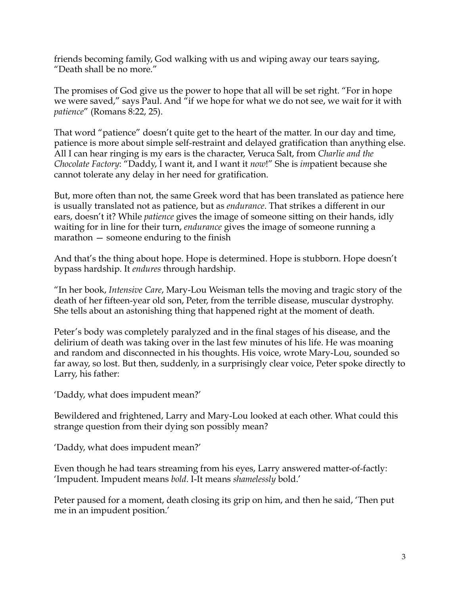friends becoming family, God walking with us and wiping away our tears saying, "Death shall be no more."

The promises of God give us the power to hope that all will be set right. "For in hope we were saved," says Paul. And "if we hope for what we do not see, we wait for it with *patience*" (Romans 8:22, 25).

That word "patience" doesn't quite get to the heart of the matter. In our day and time, patience is more about simple self-restraint and delayed gratification than anything else. All I can hear ringing is my ears is the character, Veruca Salt, from *Charlie and the Chocolate Factory*: "Daddy, I want it, and I want it *now*!" She is *im*patient because she cannot tolerate any delay in her need for gratification.

But, more often than not, the same Greek word that has been translated as patience here is usually translated not as patience, but as *endurance*. That strikes a different in our ears, doesn't it? While *patience* gives the image of someone sitting on their hands, idly waiting for in line for their turn, *endurance* gives the image of someone running a marathon — someone enduring to the finish

And that's the thing about hope. Hope is determined. Hope is stubborn. Hope doesn't bypass hardship. It *endures* through hardship.

"In her book, *Intensive Care*, Mary-Lou Weisman tells the moving and tragic story of the death of her fifteen-year old son, Peter, from the terrible disease, muscular dystrophy. She tells about an astonishing thing that happened right at the moment of death.

Peter's body was completely paralyzed and in the final stages of his disease, and the delirium of death was taking over in the last few minutes of his life. He was moaning and random and disconnected in his thoughts. His voice, wrote Mary-Lou, sounded so far away, so lost. But then, suddenly, in a surprisingly clear voice, Peter spoke directly to Larry, his father:

'Daddy, what does impudent mean?'

Bewildered and frightened, Larry and Mary-Lou looked at each other. What could this strange question from their dying son possibly mean?

'Daddy, what does impudent mean?'

Even though he had tears streaming from his eyes, Larry answered matter-of-factly: 'Impudent. Impudent means *bold*. I-It means *shamelessly* bold.'

Peter paused for a moment, death closing its grip on him, and then he said, 'Then put me in an impudent position.'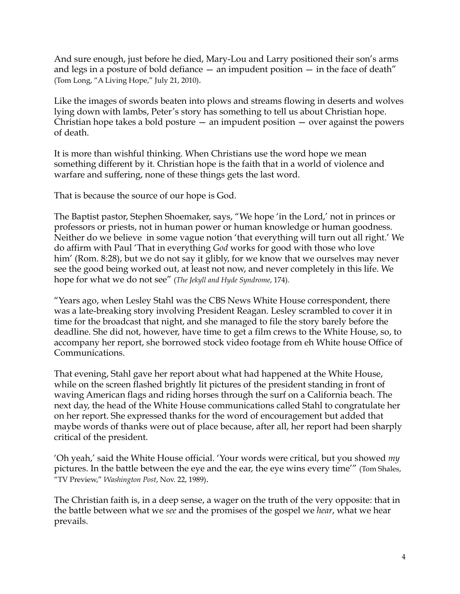And sure enough, just before he died, Mary-Lou and Larry positioned their son's arms and legs in a posture of bold defiance  $-$  an impudent position  $-$  in the face of death" (Tom Long, "A Living Hope," July 21, 2010).

Like the images of swords beaten into plows and streams flowing in deserts and wolves lying down with lambs, Peter's story has something to tell us about Christian hope. Christian hope takes a bold posture  $-$  an impudent position  $-$  over against the powers of death.

It is more than wishful thinking. When Christians use the word hope we mean something different by it. Christian hope is the faith that in a world of violence and warfare and suffering, none of these things gets the last word.

That is because the source of our hope is God.

The Baptist pastor, Stephen Shoemaker, says, "We hope 'in the Lord,' not in princes or professors or priests, not in human power or human knowledge or human goodness. Neither do we believe in some vague notion 'that everything will turn out all right.' We do affirm with Paul 'That in everything *God* works for good with those who love him' (Rom. 8:28), but we do not say it glibly, for we know that we ourselves may never see the good being worked out, at least not now, and never completely in this life. We hope for what we do not see" (*The Jekyll and Hyde Syndrome*, 174).

"Years ago, when Lesley Stahl was the CBS News White House correspondent, there was a late-breaking story involving President Reagan. Lesley scrambled to cover it in time for the broadcast that night, and she managed to file the story barely before the deadline. She did not, however, have time to get a film crews to the White House, so, to accompany her report, she borrowed stock video footage from eh White house Office of Communications.

That evening, Stahl gave her report about what had happened at the White House, while on the screen flashed brightly lit pictures of the president standing in front of waving American flags and riding horses through the surf on a California beach. The next day, the head of the White House communications called Stahl to congratulate her on her report. She expressed thanks for the word of encouragement but added that maybe words of thanks were out of place because, after all, her report had been sharply critical of the president.

'Oh yeah,' said the White House official. 'Your words were critical, but you showed *my* pictures. In the battle between the eye and the ear, the eye wins every time'" (Tom Shales, "TV Preview," *Washington Post*, Nov. 22, 1989).

The Christian faith is, in a deep sense, a wager on the truth of the very opposite: that in the battle between what we *see* and the promises of the gospel we *hear*, what we hear prevails.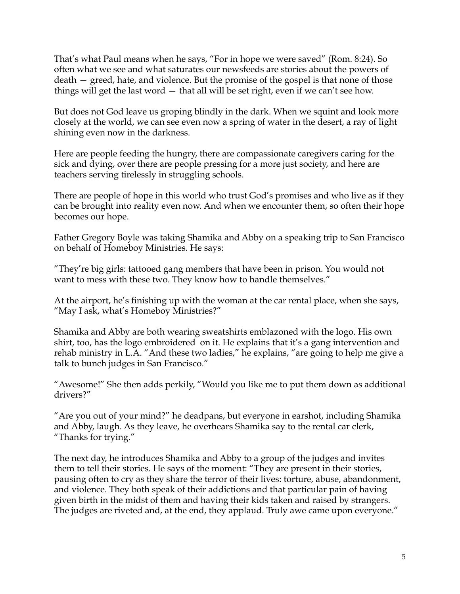That's what Paul means when he says, "For in hope we were saved" (Rom. 8:24). So often what we see and what saturates our newsfeeds are stories about the powers of death — greed, hate, and violence. But the promise of the gospel is that none of those things will get the last word — that all will be set right, even if we can't see how.

But does not God leave us groping blindly in the dark. When we squint and look more closely at the world, we can see even now a spring of water in the desert, a ray of light shining even now in the darkness.

Here are people feeding the hungry, there are compassionate caregivers caring for the sick and dying, over there are people pressing for a more just society, and here are teachers serving tirelessly in struggling schools.

There are people of hope in this world who trust God's promises and who live as if they can be brought into reality even now. And when we encounter them, so often their hope becomes our hope.

Father Gregory Boyle was taking Shamika and Abby on a speaking trip to San Francisco on behalf of Homeboy Ministries. He says:

"They're big girls: tattooed gang members that have been in prison. You would not want to mess with these two. They know how to handle themselves."

At the airport, he's finishing up with the woman at the car rental place, when she says, "May I ask, what's Homeboy Ministries?"

Shamika and Abby are both wearing sweatshirts emblazoned with the logo. His own shirt, too, has the logo embroidered on it. He explains that it's a gang intervention and rehab ministry in L.A. "And these two ladies," he explains, "are going to help me give a talk to bunch judges in San Francisco."

"Awesome!" She then adds perkily, "Would you like me to put them down as additional drivers?"

"Are you out of your mind?" he deadpans, but everyone in earshot, including Shamika and Abby, laugh. As they leave, he overhears Shamika say to the rental car clerk, "Thanks for trying."

The next day, he introduces Shamika and Abby to a group of the judges and invites them to tell their stories. He says of the moment: "They are present in their stories, pausing often to cry as they share the terror of their lives: torture, abuse, abandonment, and violence. They both speak of their addictions and that particular pain of having given birth in the midst of them and having their kids taken and raised by strangers. The judges are riveted and, at the end, they applaud. Truly awe came upon everyone."